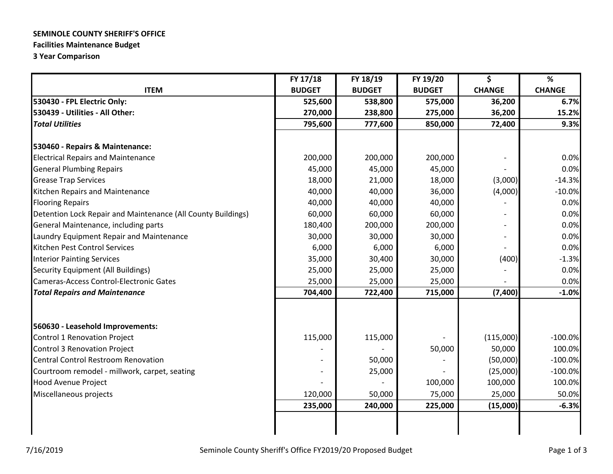## **SEMINOLE COUNTY SHERIFF'S OFFICE**

## **Facilities Maintenance Budget**

**3 Year Comparison** 

|                                                              | FY 17/18      | FY 18/19      | FY 19/20      | \$            | $\%$          |  |
|--------------------------------------------------------------|---------------|---------------|---------------|---------------|---------------|--|
| <b>ITEM</b>                                                  | <b>BUDGET</b> | <b>BUDGET</b> | <b>BUDGET</b> | <b>CHANGE</b> | <b>CHANGE</b> |  |
| 530430 - FPL Electric Only:                                  | 525,600       | 538,800       | 575,000       | 36,200        | 6.7%          |  |
| 530439 - Utilities - All Other:                              | 270,000       | 238,800       | 275,000       | 36,200        | 15.2%         |  |
| <b>Total Utilities</b>                                       | 795,600       | 777,600       | 850,000       | 72,400        | 9.3%          |  |
|                                                              |               |               |               |               |               |  |
| 530460 - Repairs & Maintenance:                              |               |               |               |               |               |  |
| <b>Electrical Repairs and Maintenance</b>                    | 200,000       | 200,000       | 200,000       |               | 0.0%          |  |
| <b>General Plumbing Repairs</b>                              | 45,000        | 45,000        | 45,000        |               | 0.0%          |  |
| <b>Grease Trap Services</b>                                  | 18,000        | 21,000        | 18,000        | (3,000)       | $-14.3%$      |  |
| Kitchen Repairs and Maintenance                              | 40,000        | 40,000        | 36,000        | (4,000)       | $-10.0%$      |  |
| <b>Flooring Repairs</b>                                      | 40,000        | 40,000        | 40,000        |               | 0.0%          |  |
| Detention Lock Repair and Maintenance (All County Buildings) | 60,000        | 60,000        | 60,000        |               | 0.0%          |  |
| General Maintenance, including parts                         | 180,400       | 200,000       | 200,000       |               | 0.0%          |  |
| Laundry Equipment Repair and Maintenance                     | 30,000        | 30,000        | 30,000        |               | 0.0%          |  |
| Kitchen Pest Control Services                                | 6,000         | 6,000         | 6,000         |               | 0.0%          |  |
| <b>Interior Painting Services</b>                            | 35,000        | 30,400        | 30,000        | (400)         | $-1.3%$       |  |
| Security Equipment (All Buildings)                           | 25,000        | 25,000        | 25,000        |               | 0.0%          |  |
| Cameras-Access Control-Electronic Gates                      | 25,000        | 25,000        | 25,000        |               | 0.0%          |  |
| <b>Total Repairs and Maintenance</b>                         | 704,400       | 722,400       | 715,000       | (7, 400)      | $-1.0%$       |  |
|                                                              |               |               |               |               |               |  |
| 560630 - Leasehold Improvements:                             |               |               |               |               |               |  |
| Control 1 Renovation Project                                 | 115,000       | 115,000       |               | (115,000)     | $-100.0%$     |  |
| <b>Control 3 Renovation Project</b>                          |               |               | 50,000        | 50,000        | 100.0%        |  |
| <b>Central Control Restroom Renovation</b>                   |               | 50,000        |               | (50,000)      | $-100.0%$     |  |
| Courtroom remodel - millwork, carpet, seating                |               | 25,000        |               | (25,000)      | $-100.0%$     |  |
| <b>Hood Avenue Project</b>                                   |               |               | 100,000       | 100,000       | 100.0%        |  |
| Miscellaneous projects                                       | 120,000       | 50,000        | 75,000        | 25,000        | 50.0%         |  |
|                                                              | 235,000       | 240,000       | 225,000       | (15,000)      | $-6.3%$       |  |
|                                                              |               |               |               |               |               |  |
|                                                              |               |               |               |               |               |  |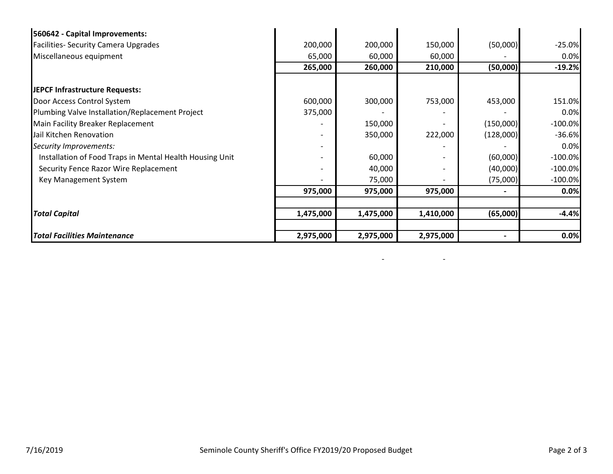| 560642 - Capital Improvements:                           |           |           |                          |           |            |
|----------------------------------------------------------|-----------|-----------|--------------------------|-----------|------------|
| <b>Facilities- Security Camera Upgrades</b>              | 200,000   | 200,000   | 150,000                  | (50,000)  | $-25.0%$   |
| Miscellaneous equipment                                  | 65,000    | 60,000    | 60,000                   |           | 0.0%       |
|                                                          | 265,000   | 260,000   | 210,000                  | (50,000)  | $-19.2%$   |
| JEPCF Infrastructure Requests:                           |           |           |                          |           |            |
| Door Access Control System                               | 600,000   | 300,000   | 753,000                  | 453,000   | 151.0%     |
| Plumbing Valve Installation/Replacement Project          | 375,000   |           |                          |           | 0.0%       |
| Main Facility Breaker Replacement                        |           | 150,000   |                          | (150,000) | $-100.0%$  |
| Jail Kitchen Renovation                                  |           | 350,000   | 222,000                  | (128,000) | $-36.6%$   |
| Security Improvements:                                   |           |           |                          |           | 0.0%       |
| Installation of Food Traps in Mental Health Housing Unit |           | 60,000    | $\overline{\phantom{a}}$ | (60,000)  | $-100.0\%$ |
| Security Fence Razor Wire Replacement                    |           | 40,000    |                          | (40,000)  | $-100.0%$  |
| Key Management System                                    |           | 75,000    |                          | (75,000)  | $-100.0%$  |
|                                                          | 975,000   | 975,000   | 975,000                  |           | 0.0%       |
|                                                          |           |           |                          |           |            |
| <b>Total Capital</b>                                     | 1,475,000 | 1,475,000 | 1,410,000                | (65,000)  | $-4.4%$    |
|                                                          |           |           |                          |           |            |
| <b>Total Facilities Maintenance</b>                      | 2,975,000 | 2,975,000 | 2,975,000                |           | 0.0%       |

- -